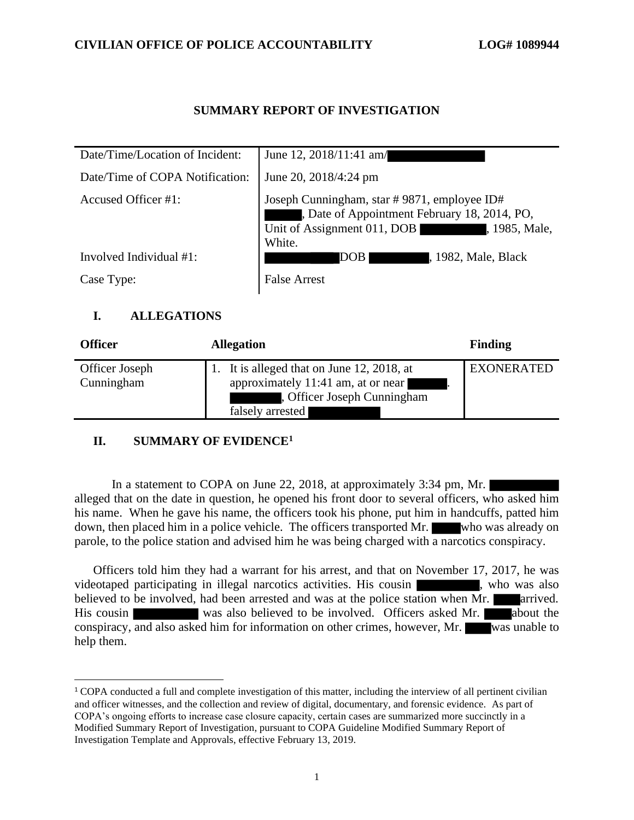### **CIVILIAN OFFICE OF POLICE ACCOUNTABILITY LOG# 1089944**

## **SUMMARY REPORT OF INVESTIGATION**

| Date/Time/Location of Incident: | June 12, 2018/11:41 am/                                                                                                                               |
|---------------------------------|-------------------------------------------------------------------------------------------------------------------------------------------------------|
| Date/Time of COPA Notification: | June 20, 2018/4:24 pm                                                                                                                                 |
| Accused Officer #1:             | Joseph Cunningham, star #9871, employee ID#<br>, Date of Appointment February 18, 2014, PO,<br>Unit of Assignment 011, DOB<br>, 1985, Male,<br>White. |
| Involved Individual $#1$ :      | , 1982, Male, Black<br>DOB                                                                                                                            |
| Case Type:                      | <b>False Arrest</b>                                                                                                                                   |

# **I. ALLEGATIONS**

| <b>Officer</b>               | <b>Allegation</b>                                                                                                                   | Finding           |
|------------------------------|-------------------------------------------------------------------------------------------------------------------------------------|-------------------|
| Officer Joseph<br>Cunningham | 1. It is alleged that on June 12, 2018, at<br>approximately 11:41 am, at or near<br>, Officer Joseph Cunningham<br>falsely arrested | <b>EXONERATED</b> |

# **II. SUMMARY OF EVIDENCE<sup>1</sup>**

In a statement to COPA on June 22, 2018, at approximately 3:34 pm, Mr. alleged that on the date in question, he opened his front door to several officers, who asked him his name. When he gave his name, the officers took his phone, put him in handcuffs, patted him down, then placed him in a police vehicle. The officers transported Mr. who was already on parole, to the police station and advised him he was being charged with a narcotics conspiracy.

Officers told him they had a warrant for his arrest, and that on November 17, 2017, he was videotaped participating in illegal narcotics activities. His cousin states who was also believed to be involved, had been arrested and was at the police station when Mr. **arrived**. His cousin was also believed to be involved. Officers asked Mr. about the conspiracy, and also asked him for information on other crimes, however, Mr. was unable to help them.

 $1$  COPA conducted a full and complete investigation of this matter, including the interview of all pertinent civilian and officer witnesses, and the collection and review of digital, documentary, and forensic evidence. As part of COPA's ongoing efforts to increase case closure capacity, certain cases are summarized more succinctly in a Modified Summary Report of Investigation, pursuant to COPA Guideline Modified Summary Report of Investigation Template and Approvals, effective February 13, 2019.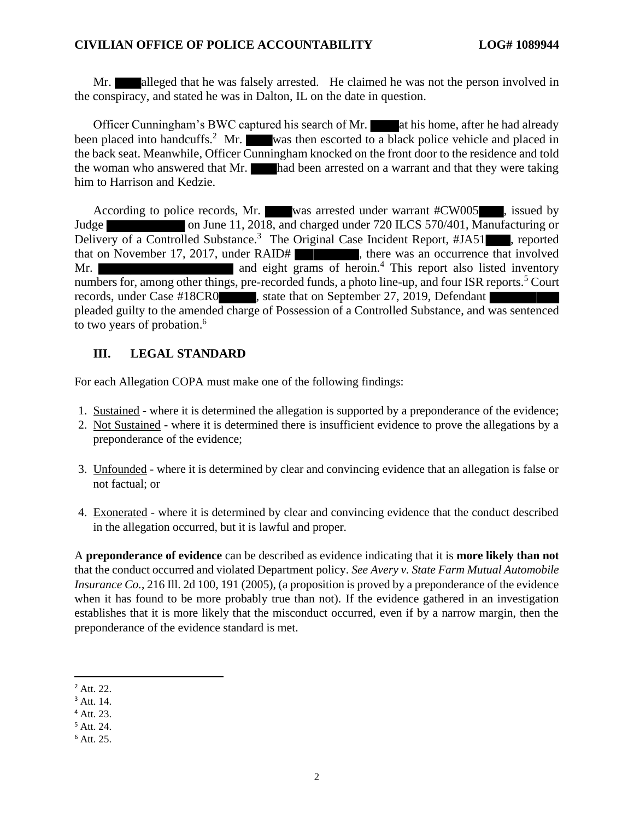#### **CIVILIAN OFFICE OF POLICE ACCOUNTABILITY LOG# 1089944**

Mr. alleged that he was falsely arrested. He claimed he was not the person involved in the conspiracy, and stated he was in Dalton, IL on the date in question.

Officer Cunningham's BWC captured his search of Mr. at his home, after he had already been placed into handcuffs.<sup>2</sup> Mr. was then escorted to a black police vehicle and placed in the back seat. Meanwhile, Officer Cunningham knocked on the front door to the residence and told the woman who answered that Mr. had been arrested on a warrant and that they were taking him to Harrison and Kedzie.

According to police records, Mr. was arrested under warrant #CW005 , issued by Judge on June 11, 2018, and charged under 720 ILCS 570/401, Manufacturing or Delivery of a Controlled Substance.<sup>3</sup> The Original Case Incident Report, #JA51, reported that on November 17, 2017, under RAID# , there was an occurrence that involved Mr. **and eight grams of heroin.**<sup>4</sup> This report also listed inventory numbers for, among other things, pre-recorded funds, a photo line-up, and four ISR reports.<sup>5</sup> Court records, under Case #18CR0 , state that on September 27, 2019, Defendant pleaded guilty to the amended charge of Possession of a Controlled Substance, and was sentenced to two years of probation. 6

# **III. LEGAL STANDARD**

For each Allegation COPA must make one of the following findings:

- 1. Sustained where it is determined the allegation is supported by a preponderance of the evidence;
- 2. Not Sustained where it is determined there is insufficient evidence to prove the allegations by a preponderance of the evidence;
- 3. Unfounded where it is determined by clear and convincing evidence that an allegation is false or not factual; or
- 4. Exonerated where it is determined by clear and convincing evidence that the conduct described in the allegation occurred, but it is lawful and proper.

A **preponderance of evidence** can be described as evidence indicating that it is **more likely than not** that the conduct occurred and violated Department policy. *See Avery v. State Farm Mutual Automobile Insurance Co.*, 216 Ill. 2d 100, 191 (2005), (a proposition is proved by a preponderance of the evidence when it has found to be more probably true than not). If the evidence gathered in an investigation establishes that it is more likely that the misconduct occurred, even if by a narrow margin, then the preponderance of the evidence standard is met.

<sup>2</sup> Att. 22.

<sup>3</sup> Att. 14.

<sup>4</sup> Att. 23.

<sup>5</sup> Att. 24.

<sup>6</sup> Att. 25.